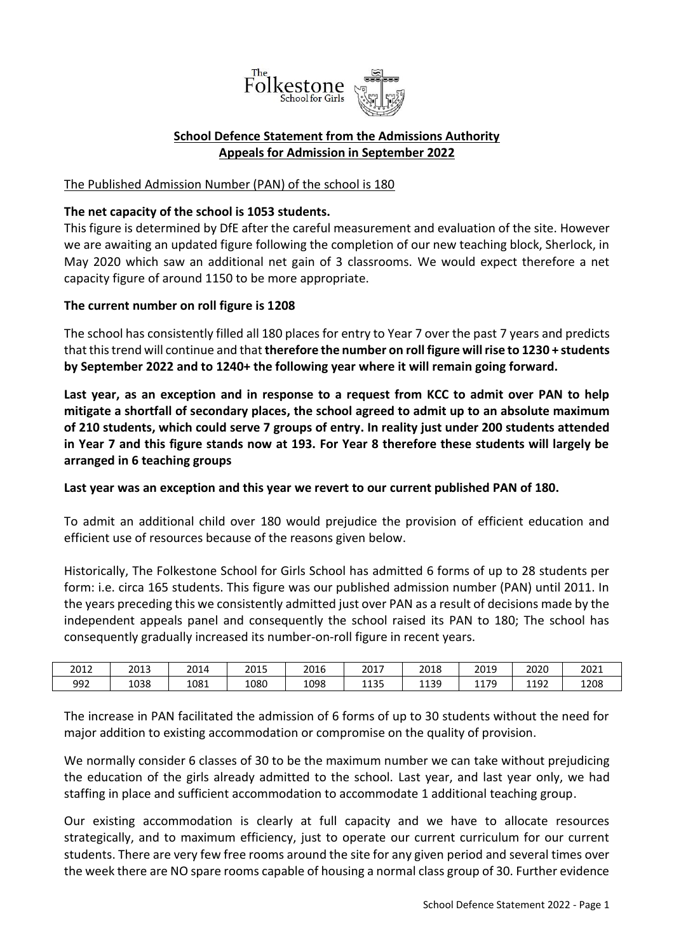

## **School Defence Statement from the Admissions Authority Appeals for Admission in September 2022**

## The Published Admission Number (PAN) of the school is 180

## **The net capacity of the school is 1053 students.**

This figure is determined by DfE after the careful measurement and evaluation of the site. However we are awaiting an updated figure following the completion of our new teaching block, Sherlock, in May 2020 which saw an additional net gain of 3 classrooms. We would expect therefore a net capacity figure of around 1150 to be more appropriate.

## **The current number on roll figure is 1208**

The school has consistently filled all 180 places for entry to Year 7 over the past 7 years and predicts that this trend will continue and that **therefore the number on roll figure will rise to 1230 + students by September 2022 and to 1240+ the following year where it will remain going forward.**

**Last year, as an exception and in response to a request from KCC to admit over PAN to help mitigate a shortfall of secondary places, the school agreed to admit up to an absolute maximum of 210 students, which could serve 7 groups of entry. In reality just under 200 students attended in Year 7 and this figure stands now at 193. For Year 8 therefore these students will largely be arranged in 6 teaching groups**

**Last year was an exception and this year we revert to our current published PAN of 180.** 

To admit an additional child over 180 would prejudice the provision of efficient education and efficient use of resources because of the reasons given below.

Historically, The Folkestone School for Girls School has admitted 6 forms of up to 28 students per form: i.e. circa 165 students. This figure was our published admission number (PAN) until 2011. In the years preceding this we consistently admitted just over PAN as a result of decisions made by the independent appeals panel and consequently the school raised its PAN to 180; The school has consequently gradually increased its number-on-roll figure in recent years.

| 2012 | 2013 | 2014 | 2015 | 2016 | 2017 | 2018 | 2019 | 2020 | 2021 |
|------|------|------|------|------|------|------|------|------|------|
| 992  | 1038 | 1081 | 1080 | 1098 | 1135 | 1139 | 1179 | 1192 | 1208 |

The increase in PAN facilitated the admission of 6 forms of up to 30 students without the need for major addition to existing accommodation or compromise on the quality of provision.

We normally consider 6 classes of 30 to be the maximum number we can take without prejudicing the education of the girls already admitted to the school. Last year, and last year only, we had staffing in place and sufficient accommodation to accommodate 1 additional teaching group.

Our existing accommodation is clearly at full capacity and we have to allocate resources strategically, and to maximum efficiency, just to operate our current curriculum for our current students. There are very few free rooms around the site for any given period and several times over the week there are NO spare rooms capable of housing a normal class group of 30. Further evidence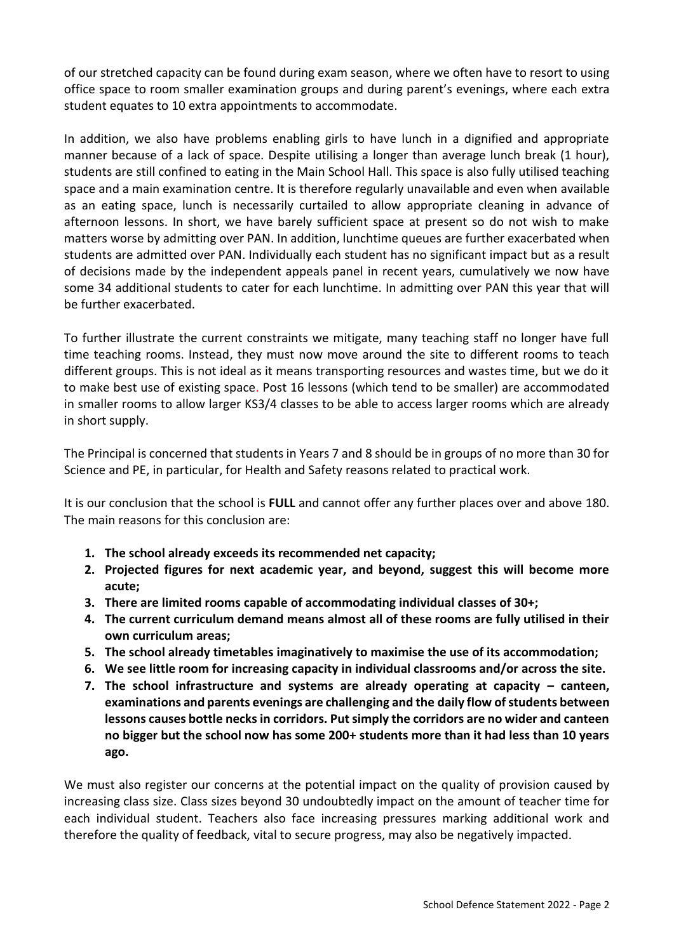of our stretched capacity can be found during exam season, where we often have to resort to using office space to room smaller examination groups and during parent's evenings, where each extra student equates to 10 extra appointments to accommodate.

In addition, we also have problems enabling girls to have lunch in a dignified and appropriate manner because of a lack of space. Despite utilising a longer than average lunch break (1 hour), students are still confined to eating in the Main School Hall. This space is also fully utilised teaching space and a main examination centre. It is therefore regularly unavailable and even when available as an eating space, lunch is necessarily curtailed to allow appropriate cleaning in advance of afternoon lessons. In short, we have barely sufficient space at present so do not wish to make matters worse by admitting over PAN. In addition, lunchtime queues are further exacerbated when students are admitted over PAN. Individually each student has no significant impact but as a result of decisions made by the independent appeals panel in recent years, cumulatively we now have some 34 additional students to cater for each lunchtime. In admitting over PAN this year that will be further exacerbated.

To further illustrate the current constraints we mitigate, many teaching staff no longer have full time teaching rooms. Instead, they must now move around the site to different rooms to teach different groups. This is not ideal as it means transporting resources and wastes time, but we do it to make best use of existing space. Post 16 lessons (which tend to be smaller) are accommodated in smaller rooms to allow larger KS3/4 classes to be able to access larger rooms which are already in short supply.

The Principal is concerned that students in Years 7 and 8 should be in groups of no more than 30 for Science and PE, in particular, for Health and Safety reasons related to practical work.

It is our conclusion that the school is **FULL** and cannot offer any further places over and above 180. The main reasons for this conclusion are:

- **1. The school already exceeds its recommended net capacity;**
- **2. Projected figures for next academic year, and beyond, suggest this will become more acute;**
- **3. There are limited rooms capable of accommodating individual classes of 30+;**
- **4. The current curriculum demand means almost all of these rooms are fully utilised in their own curriculum areas;**
- **5. The school already timetables imaginatively to maximise the use of its accommodation;**
- **6. We see little room for increasing capacity in individual classrooms and/or across the site.**
- **7.** The school infrastructure and systems are already operating at capacity canteen, **examinations and parents evenings are challenging and the daily flow of students between lessons causes bottle necks in corridors. Put simply the corridors are no wider and canteen no bigger but the school now has some 200+ students more than it had less than 10 years ago.**

We must also register our concerns at the potential impact on the quality of provision caused by increasing class size. Class sizes beyond 30 undoubtedly impact on the amount of teacher time for each individual student. Teachers also face increasing pressures marking additional work and therefore the quality of feedback, vital to secure progress, may also be negatively impacted.